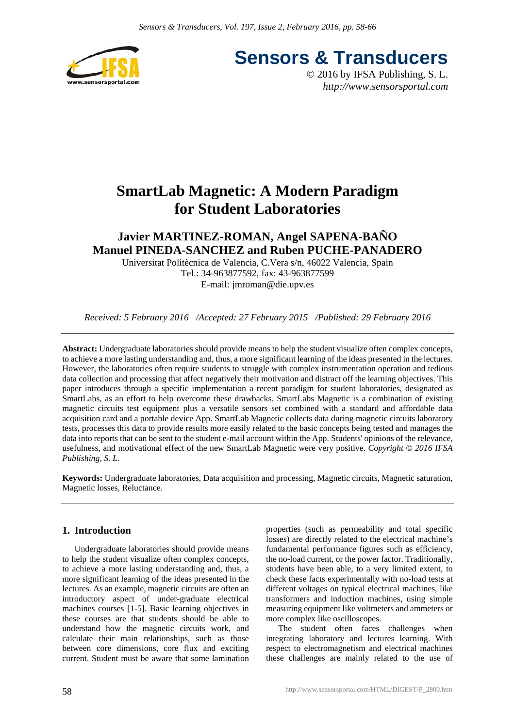

**Sensors & Transducers**

© 2016 by IFSA Publishing, S. L. *http://www.sensorsportal.com*

# **SmartLab Magnetic: A Modern Paradigm for Student Laboratories**

# **Javier MARTINEZ-ROMAN, Angel SAPENA-BAÑO Manuel PINEDA-SANCHEZ and Ruben PUCHE-PANADERO**

Universitat Politècnica de Valencia, C.Vera s/n, 46022 Valencia, Spain Tel.: 34-963877592, fax: 43-963877599 E-mail: jmroman@die.upv.es

*Received: 5 February 2016 /Accepted: 27 February 2015 /Published: 29 February 2016*

**Abstract:** Undergraduate laboratories should provide means to help the student visualize often complex concepts, to achieve a more lasting understanding and, thus, a more significant learning of the ideas presented in the lectures. However, the laboratories often require students to struggle with complex instrumentation operation and tedious data collection and processing that affect negatively their motivation and distract off the learning objectives. This paper introduces through a specific implementation a recent paradigm for student laboratories, designated as SmartLabs, as an effort to help overcome these drawbacks. SmartLabs Magnetic is a combination of existing magnetic circuits test equipment plus a versatile sensors set combined with a standard and affordable data acquisition card and a portable device App. SmartLab Magnetic collects data during magnetic circuits laboratory tests, processes this data to provide results more easily related to the basic concepts being tested and manages the data into reports that can be sent to the student e-mail account within the App. Students' opinions of the relevance, usefulness, and motivational effect of the new SmartLab Magnetic were very positive. *Copyright © 2016 IFSA Publishing, S. L.*

**Keywords:** Undergraduate laboratories, Data acquisition and processing, Magnetic circuits, Magnetic saturation, Magnetic losses, Reluctance.

# **1. Introduction**

Undergraduate laboratories should provide means to help the student visualize often complex concepts, to achieve a more lasting understanding and, thus, a more significant learning of the ideas presented in the lectures. As an example, magnetic circuits are often an introductory aspect of under-graduate electrical machines courses [1-5]. Basic learning objectives in these courses are that students should be able to understand how the magnetic circuits work, and calculate their main relationships, such as those between core dimensions, core flux and exciting current. Student must be aware that some lamination properties (such as permeability and total specific losses) are directly related to the electrical machine's fundamental performance figures such as efficiency, the no-load current, or the power factor. Traditionally, students have been able, to a very limited extent, to check these facts experimentally with no-load tests at different voltages on typical electrical machines, like transformers and induction machines, using simple measuring equipment like voltmeters and ammeters or more complex like oscilloscopes.

The student often faces challenges when integrating laboratory and lectures learning. With respect to electromagnetism and electrical machines these challenges are mainly related to the use of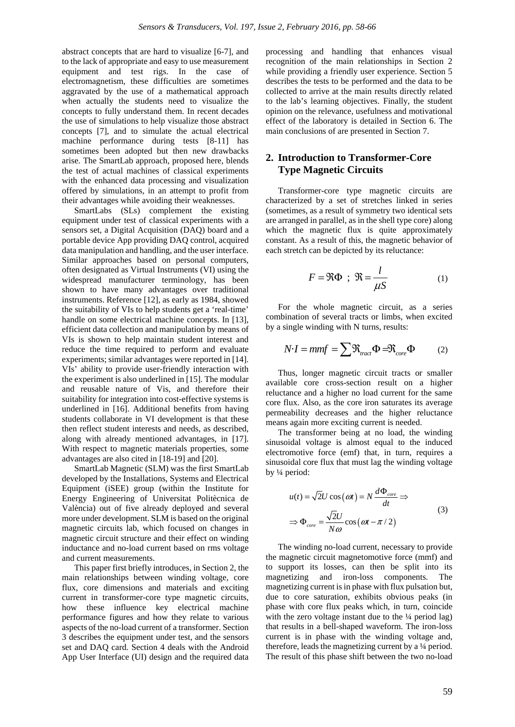abstract concepts that are hard to visualize [6-7], and to the lack of appropriate and easy to use measurement equipment and test rigs. In the case of electromagnetism, these difficulties are sometimes aggravated by the use of a mathematical approach when actually the students need to visualize the concepts to fully understand them. In recent decades the use of simulations to help visualize those abstract concepts [7], and to simulate the actual electrical machine performance during tests [8-11] has sometimes been adopted but then new drawbacks arise. The SmartLab approach, proposed here, blends the test of actual machines of classical experiments with the enhanced data processing and visualization offered by simulations, in an attempt to profit from their advantages while avoiding their weaknesses.

SmartLabs (SLs) complement the existing equipment under test of classical experiments with a sensors set, a Digital Acquisition (DAQ) board and a portable device App providing DAQ control, acquired data manipulation and handling, and the user interface. Similar approaches based on personal computers, often designated as Virtual Instruments (VI) using the widespread manufacturer terminology, has been shown to have many advantages over traditional instruments. Reference [12], as early as 1984, showed the suitability of VIs to help students get a 'real-time' handle on some electrical machine concepts. In [13], efficient data collection and manipulation by means of VIs is shown to help maintain student interest and reduce the time required to perform and evaluate experiments; similar advantages were reported in [14]. VIs' ability to provide user-friendly interaction with the experiment is also underlined in [15]. The modular and reusable nature of Vis, and therefore their suitability for integration into cost-effective systems is underlined in [16]. Additional benefits from having students collaborate in VI development is that these then reflect student interests and needs, as described, along with already mentioned advantages, in [17]. With respect to magnetic materials properties, some advantages are also cited in [18-19] and [20].

SmartLab Magnetic (SLM) was the first SmartLab developed by the Installations, Systems and Electrical Equipment (iSEE) group (within the Institute for Energy Engineering of Universitat Politècnica de València) out of five already deployed and several more under development. SLM is based on the original magnetic circuits lab, which focused on changes in magnetic circuit structure and their effect on winding inductance and no-load current based on rms voltage and current measurements.

This paper first briefly introduces, in Section 2, the main relationships between winding voltage, core flux, core dimensions and materials and exciting current in transformer-core type magnetic circuits, how these influence key electrical machine performance figures and how they relate to various aspects of the no-load current of a transformer. Section 3 describes the equipment under test, and the sensors set and DAQ card. Section 4 deals with the Android App User Interface (UI) design and the required data

processing and handling that enhances visual recognition of the main relationships in Section 2 while providing a friendly user experience. Section 5 describes the tests to be performed and the data to be collected to arrive at the main results directly related to the lab's learning objectives. Finally, the student opinion on the relevance, usefulness and motivational effect of the laboratory is detailed in Section 6. The main conclusions of are presented in Section 7.

# **2. Introduction to Transformer-Core Type Magnetic Circuits**

Transformer-core type magnetic circuits are characterized by a set of stretches linked in series (sometimes, as a result of symmetry two identical sets are arranged in parallel, as in the shell type core) along which the magnetic flux is quite approximately constant. As a result of this, the magnetic behavior of each stretch can be depicted by its reluctance:

$$
F = \Re \Phi \; ; \; \Re = \frac{l}{\mu S} \tag{1}
$$

For the whole magnetic circuit, as a series combination of several tracts or limbs, when excited by a single winding with N turns, results:

$$
N \cdot I = mmf = \sum \Re_{\text{tract}} \Phi = \Re_{\text{core}} \Phi \tag{2}
$$

Thus, longer magnetic circuit tracts or smaller available core cross-section result on a higher reluctance and a higher no load current for the same core flux. Also, as the core iron saturates its average permeability decreases and the higher reluctance means again more exciting current is needed.

The transformer being at no load, the winding sinusoidal voltage is almost equal to the induced electromotive force (emf) that, in turn, requires a sinusoidal core flux that must lag the winding voltage by ¼ period:

$$
u(t) = \sqrt{2}U\cos(\omega t) = N\frac{d\Phi_{core}}{dt} \Rightarrow
$$
  

$$
\Rightarrow \Phi_{core} = \frac{\sqrt{2}U}{N\omega}\cos(\omega t - \pi/2)
$$
 (3)

The winding no-load current, necessary to provide the magnetic circuit magnetomotive force (mmf) and to support its losses, can then be split into its magnetizing and iron-loss components. The magnetizing current is in phase with flux pulsation but, due to core saturation, exhibits obvious peaks (in phase with core flux peaks which, in turn, coincide with the zero voltage instant due to the  $\frac{1}{4}$  period lag) that results in a bell-shaped waveform. The iron-loss current is in phase with the winding voltage and, therefore, leads the magnetizing current by a ¼ period. The result of this phase shift between the two no-load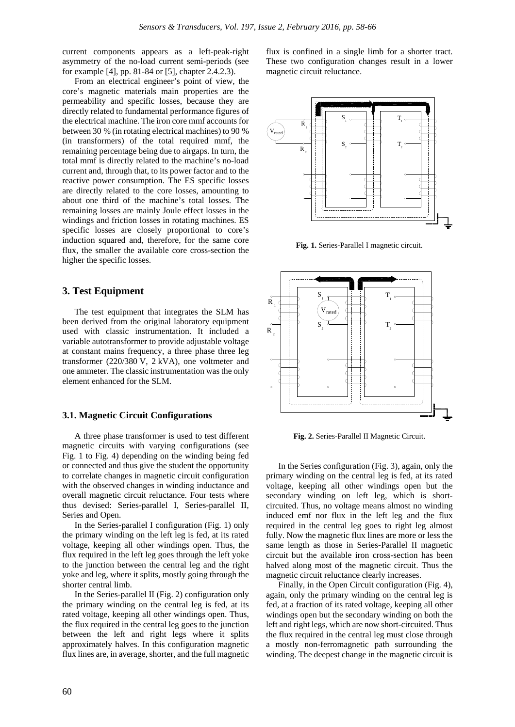current components appears as a left-peak-right asymmetry of the no-load current semi-periods (see for example [4], pp. 81-84 or [5], chapter 2.4.2.3).

From an electrical engineer's point of view, the core's magnetic materials main properties are the permeability and specific losses, because they are directly related to fundamental performance figures of the electrical machine. The iron core mmf accounts for between 30 % (in rotating electrical machines) to 90 % (in transformers) of the total required mmf, the remaining percentage being due to airgaps. In turn, the total mmf is directly related to the machine's no-load current and, through that, to its power factor and to the reactive power consumption. The ES specific losses are directly related to the core losses, amounting to about one third of the machine's total losses. The remaining losses are mainly Joule effect losses in the windings and friction losses in rotating machines. ES specific losses are closely proportional to core's induction squared and, therefore, for the same core flux, the smaller the available core cross-section the higher the specific losses.

## **3. Test Equipment**

The test equipment that integrates the SLM has been derived from the original laboratory equipment used with classic instrumentation. It included a variable autotransformer to provide adjustable voltage at constant mains frequency, a three phase three leg transformer (220/380 V, 2 kVA), one voltmeter and one ammeter. The classic instrumentation was the only element enhanced for the SLM.

#### **3.1. Magnetic Circuit Configurations**

A three phase transformer is used to test different magnetic circuits with varying configurations (see Fig. 1 to Fig. 4) depending on the winding being fed or connected and thus give the student the opportunity to correlate changes in magnetic circuit configuration with the observed changes in winding inductance and overall magnetic circuit reluctance. Four tests where thus devised: Series-parallel I, Series-parallel II, Series and Open.

In the Series-parallel I configuration (Fig. 1) only the primary winding on the left leg is fed, at its rated voltage, keeping all other windings open. Thus, the flux required in the left leg goes through the left yoke to the junction between the central leg and the right yoke and leg, where it splits, mostly going through the shorter central limb.

In the Series-parallel II (Fig. 2) configuration only the primary winding on the central leg is fed, at its rated voltage, keeping all other windings open. Thus, the flux required in the central leg goes to the junction between the left and right legs where it splits approximately halves. In this configuration magnetic flux lines are, in average, shorter, and the full magnetic

flux is confined in a single limb for a shorter tract. These two configuration changes result in a lower magnetic circuit reluctance.



**Fig. 1.** Series-Parallel I magnetic circuit.



**Fig. 2.** Series-Parallel II Magnetic Circuit.

In the Series configuration (Fig. 3), again, only the primary winding on the central leg is fed, at its rated voltage, keeping all other windings open but the secondary winding on left leg, which is shortcircuited. Thus, no voltage means almost no winding induced emf nor flux in the left leg and the flux required in the central leg goes to right leg almost fully. Now the magnetic flux lines are more or less the same length as those in Series-Parallel II magnetic circuit but the available iron cross-section has been halved along most of the magnetic circuit. Thus the magnetic circuit reluctance clearly increases.

Finally, in the Open Circuit configuration (Fig. 4), again, only the primary winding on the central leg is fed, at a fraction of its rated voltage, keeping all other windings open but the secondary winding on both the left and right legs, which are now short-circuited. Thus the flux required in the central leg must close through a mostly non-ferromagnetic path surrounding the winding. The deepest change in the magnetic circuit is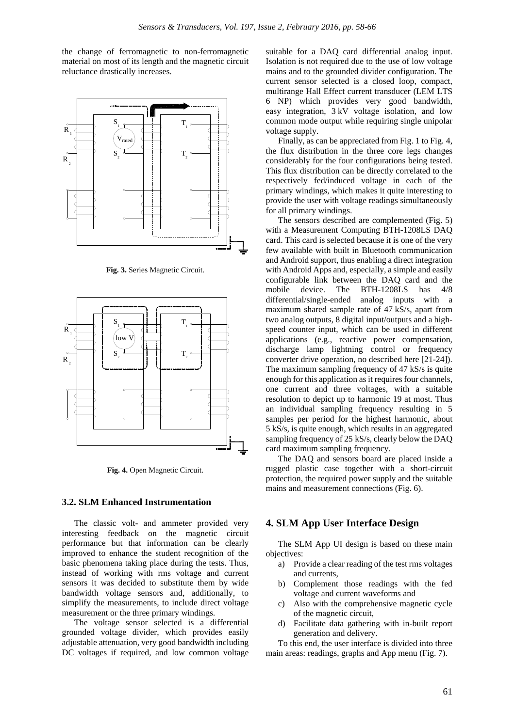the change of ferromagnetic to non-ferromagnetic material on most of its length and the magnetic circuit reluctance drastically increases.



**Fig. 3.** Series Magnetic Circuit.



**Fig. 4.** Open Magnetic Circuit.

#### **3.2. SLM Enhanced Instrumentation**

The classic volt- and ammeter provided very interesting feedback on the magnetic circuit performance but that information can be clearly improved to enhance the student recognition of the basic phenomena taking place during the tests. Thus, instead of working with rms voltage and current sensors it was decided to substitute them by wide bandwidth voltage sensors and, additionally, to simplify the measurements, to include direct voltage measurement or the three primary windings.

The voltage sensor selected is a differential grounded voltage divider, which provides easily adjustable attenuation, very good bandwidth including DC voltages if required, and low common voltage

suitable for a DAQ card differential analog input. Isolation is not required due to the use of low voltage mains and to the grounded divider configuration. The current sensor selected is a closed loop, compact, multirange Hall Effect current transducer (LEM LTS 6 NP) which provides very good bandwidth, easy integration, 3 kV voltage isolation, and low common mode output while requiring single unipolar voltage supply.

Finally, as can be appreciated from Fig. 1 to Fig. 4, the flux distribution in the three core legs changes considerably for the four configurations being tested. This flux distribution can be directly correlated to the respectively fed/induced voltage in each of the primary windings, which makes it quite interesting to provide the user with voltage readings simultaneously for all primary windings.

The sensors described are complemented (Fig. 5) with a Measurement Computing BTH-1208LS DAQ card. This card is selected because it is one of the very few available with built in Bluetooth communication and Android support, thus enabling a direct integration with Android Apps and, especially, a simple and easily configurable link between the DAQ card and the mobile device. The BTH-1208LS has 4/8 differential/single-ended analog inputs with a maximum shared sample rate of 47 kS/s, apart from two analog outputs, 8 digital input/outputs and a highspeed counter input, which can be used in different applications (e.g., reactive power compensation, discharge lamp lightning control or frequency converter drive operation, no described here [21-24]). The maximum sampling frequency of 47 kS/s is quite enough for this application as it requires four channels, one current and three voltages, with a suitable resolution to depict up to harmonic 19 at most. Thus an individual sampling frequency resulting in 5 samples per period for the highest harmonic, about 5 kS/s, is quite enough, which results in an aggregated sampling frequency of 25 kS/s, clearly below the DAQ card maximum sampling frequency.

The DAQ and sensors board are placed inside a rugged plastic case together with a short-circuit protection, the required power supply and the suitable mains and measurement connections (Fig. 6).

## **4. SLM App User Interface Design**

The SLM App UI design is based on these main objectives:

- a) Provide a clear reading of the test rms voltages and currents,
- b) Complement those readings with the fed voltage and current waveforms and
- c) Also with the comprehensive magnetic cycle of the magnetic circuit,
- d) Facilitate data gathering with in-built report generation and delivery.

To this end, the user interface is divided into three main areas: readings, graphs and App menu (Fig. 7).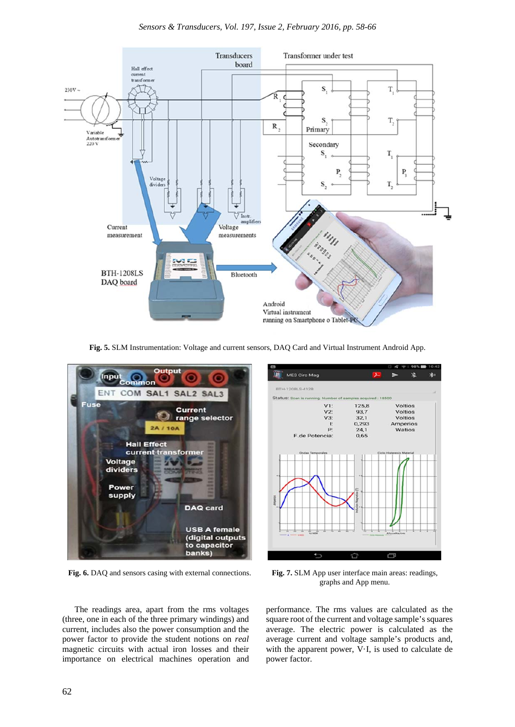

**Fig. 5.** SLM Instrumentation: Voltage and current sensors, DAQ Card and Virtual Instrument Android App.



**Fig. 6.** DAQ and sensors casing with external connections. **Fig. 7.** SLM App user interface main areas: readings,



graphs and App menu.

The readings area, apart from the rms voltages (three, one in each of the three primary windings) and current, includes also the power consumption and the power factor to provide the student notions on *real* magnetic circuits with actual iron losses and their importance on electrical machines operation and performance. The rms values are calculated as the square root of the current and voltage sample's squares average. The electric power is calculated as the average current and voltage sample's products and, with the apparent power, V·I, is used to calculate de power factor.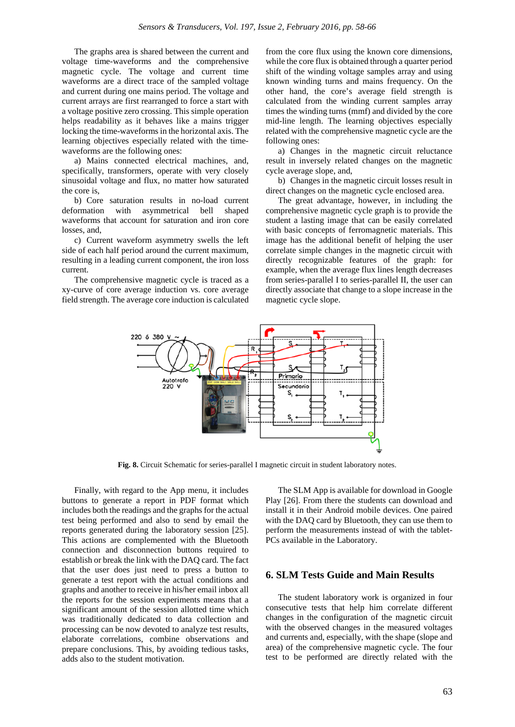The graphs area is shared between the current and voltage time-waveforms and the comprehensive magnetic cycle. The voltage and current time waveforms are a direct trace of the sampled voltage and current during one mains period. The voltage and current arrays are first rearranged to force a start with a voltage positive zero crossing. This simple operation helps readability as it behaves like a mains trigger locking the time-waveforms in the horizontal axis. The learning objectives especially related with the timewaveforms are the following ones:

a) Mains connected electrical machines, and, specifically, transformers, operate with very closely sinusoidal voltage and flux, no matter how saturated the core is,

b) Core saturation results in no-load current deformation with asymmetrical bell shaped waveforms that account for saturation and iron core losses, and,

c) Current waveform asymmetry swells the left side of each half period around the current maximum, resulting in a leading current component, the iron loss current.

The comprehensive magnetic cycle is traced as a xy-curve of core average induction vs. core average field strength. The average core induction is calculated from the core flux using the known core dimensions, while the core flux is obtained through a quarter period shift of the winding voltage samples array and using known winding turns and mains frequency. On the other hand, the core's average field strength is calculated from the winding current samples array times the winding turns (mmf) and divided by the core mid-line length. The learning objectives especially related with the comprehensive magnetic cycle are the following ones:

a) Changes in the magnetic circuit reluctance result in inversely related changes on the magnetic cycle average slope, and,

b) Changes in the magnetic circuit losses result in direct changes on the magnetic cycle enclosed area.

The great advantage, however, in including the comprehensive magnetic cycle graph is to provide the student a lasting image that can be easily correlated with basic concepts of ferromagnetic materials. This image has the additional benefit of helping the user correlate simple changes in the magnetic circuit with directly recognizable features of the graph: for example, when the average flux lines length decreases from series-parallel I to series-parallel II, the user can directly associate that change to a slope increase in the magnetic cycle slope.



Fig. 8. Circuit Schematic for series-parallel I magnetic circuit in student laboratory notes.

Finally, with regard to the App menu, it includes buttons to generate a report in PDF format which includes both the readings and the graphs for the actual test being performed and also to send by email the reports generated during the laboratory session [25]. This actions are complemented with the Bluetooth connection and disconnection buttons required to establish or break the link with the DAQ card. The fact that the user does just need to press a button to generate a test report with the actual conditions and graphs and another to receive in his/her email inbox all the reports for the session experiments means that a significant amount of the session allotted time which was traditionally dedicated to data collection and processing can be now devoted to analyze test results, elaborate correlations, combine observations and prepare conclusions. This, by avoiding tedious tasks, adds also to the student motivation.

The SLM App is available for download in Google Play [26]. From there the students can download and install it in their Android mobile devices. One paired with the DAQ card by Bluetooth, they can use them to perform the measurements instead of with the tablet-PCs available in the Laboratory.

# **6. SLM Tests Guide and Main Results**

The student laboratory work is organized in four consecutive tests that help him correlate different changes in the configuration of the magnetic circuit with the observed changes in the measured voltages and currents and, especially, with the shape (slope and area) of the comprehensive magnetic cycle. The four test to be performed are directly related with the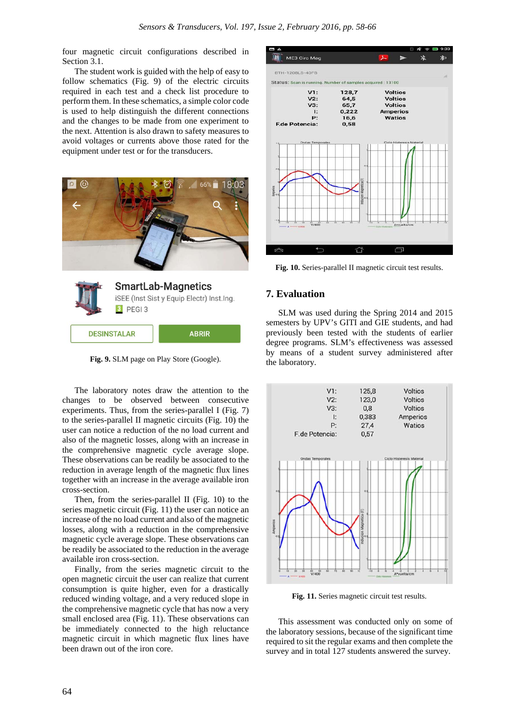four magnetic circuit configurations described in Section 3.1.

The student work is guided with the help of easy to follow schematics (Fig. 9) of the electric circuits required in each test and a check list procedure to perform them. In these schematics, a simple color code is used to help distinguish the different connections and the changes to be made from one experiment to the next. Attention is also drawn to safety measures to avoid voltages or currents above those rated for the equipment under test or for the transducers.





**Fig. 9.** SLM page on Play Store (Google).

The laboratory notes draw the attention to the changes to be observed between consecutive experiments. Thus, from the series-parallel I (Fig. 7) to the series-parallel II magnetic circuits (Fig. 10) the user can notice a reduction of the no load current and also of the magnetic losses, along with an increase in the comprehensive magnetic cycle average slope. These observations can be readily be associated to the reduction in average length of the magnetic flux lines together with an increase in the average available iron cross-section.

Then, from the series-parallel II (Fig. 10) to the series magnetic circuit (Fig. 11) the user can notice an increase of the no load current and also of the magnetic losses, along with a reduction in the comprehensive magnetic cycle average slope. These observations can be readily be associated to the reduction in the average available iron cross-section.

Finally, from the series magnetic circuit to the open magnetic circuit the user can realize that current consumption is quite higher, even for a drastically reduced winding voltage, and a very reduced slope in the comprehensive magnetic cycle that has now a very small enclosed area (Fig. 11). These observations can be immediately connected to the high reluctance magnetic circuit in which magnetic flux lines have been drawn out of the iron core.



**Fig. 10.** Series-parallel II magnetic circuit test results.

## **7. Evaluation**

SLM was used during the Spring 2014 and 2015 semesters by UPV's GITI and GIE students, and had previously been tested with the students of earlier degree programs. SLM's effectiveness was assessed by means of a student survey administered after the laboratory.



**Fig. 11.** Series magnetic circuit test results.

This assessment was conducted only on some of the laboratory sessions, because of the significant time required to sit the regular exams and then complete the survey and in total 127 students answered the survey.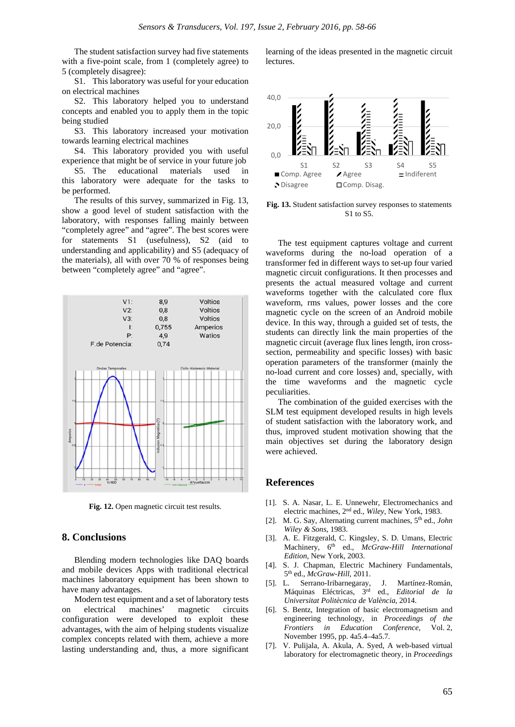The student satisfaction survey had five statements with a five-point scale, from 1 (completely agree) to 5 (completely disagree):

S1. This laboratory was useful for your education on electrical machines

S2. This laboratory helped you to understand concepts and enabled you to apply them in the topic being studied

S3. This laboratory increased your motivation towards learning electrical machines

S4. This laboratory provided you with useful experience that might be of service in your future job

S5. The educational materials used in this laboratory were adequate for the tasks to be performed.

The results of this survey, summarized in Fig. 13, show a good level of student satisfaction with the laboratory, with responses falling mainly between "completely agree" and "agree". The best scores were for statements S1 (usefulness), S2 (aid to understanding and applicability) and S5 (adequacy of the materials), all with over 70 % of responses being between "completely agree" and "agree".



**Fig. 12.** Open magnetic circuit test results.

# **8. Conclusions**

Blending modern technologies like DAQ boards and mobile devices Apps with traditional electrical machines laboratory equipment has been shown to have many advantages.

Modern test equipment and a set of laboratory tests on electrical machines' magnetic circuits configuration were developed to exploit these advantages, with the aim of helping students visualize complex concepts related with them, achieve a more lasting understanding and, thus, a more significant learning of the ideas presented in the magnetic circuit **lectures** 



**Fig. 13.** Student satisfaction survey responses to statements S1 to S5.

The test equipment captures voltage and current waveforms during the no-load operation of a transformer fed in different ways to set-up four varied magnetic circuit configurations. It then processes and presents the actual measured voltage and current waveforms together with the calculated core flux waveform, rms values, power losses and the core magnetic cycle on the screen of an Android mobile device. In this way, through a guided set of tests, the students can directly link the main properties of the magnetic circuit (average flux lines length, iron crosssection, permeability and specific losses) with basic operation parameters of the transformer (mainly the no-load current and core losses) and, specially, with the time waveforms and the magnetic cycle peculiarities.

The combination of the guided exercises with the SLM test equipment developed results in high levels of student satisfaction with the laboratory work, and thus, improved student motivation showing that the main objectives set during the laboratory design were achieved.

#### **References**

- [1]. S. A. Nasar, L. E. Unnewehr, Electromechanics and electric machines, 2nd ed., *Wiley*, New York, 1983.
- [2]. M. G. Say, Alternating current machines, 5th ed., *John Wiley & Sons*, 1983.
- [3]. A. E. Fitzgerald, C. Kingsley, S. D. Umans, Electric Machinery, 6th ed., *McGraw-Hill International Edition*, New York, 2003.
- [4]. S. J. Chapman, Electric Machinery Fundamentals, 5th ed., *McGraw-Hill*, 2011.
- [5]. L. Serrano-Iribarnegaray, J. Martínez-Román, Máquinas Eléctricas, 3rd ed., *Editorial de la Universitat Politècnica de València*, 2014.
- [6]. S. Bentz, Integration of basic electromagnetism and engineering technology, in *Proceedings of the Frontiers in Education Conference*, Vol. 2, November 1995, pp. 4a5.4–4a5.7.
- [7]. V. Pulijala, A. Akula, A. Syed, A web-based virtual laboratory for electromagnetic theory, in *Proceedings*